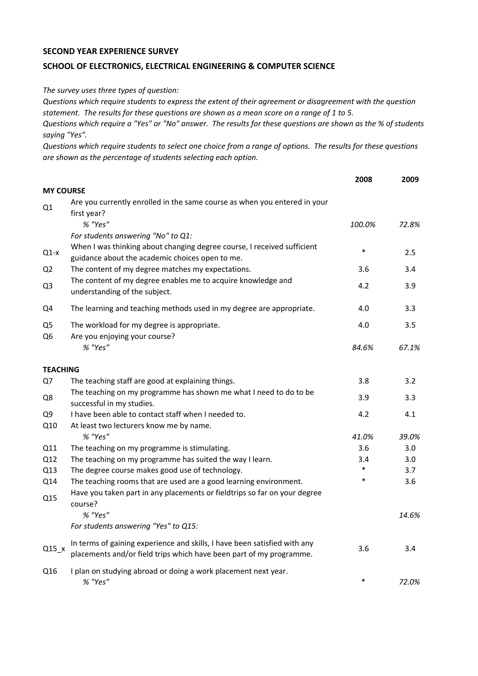## **SECOND YEAR EXPERIENCE SURVEY**

## **SCHOOL OF ELECTRONICS, ELECTRICAL ENGINEERING & COMPUTER SCIENCE**

*The survey uses three types of question:*

*Questions which require students to express the extent of their agreement or disagreement with the question statement. The results for these questions are shown as a mean score on a range of 1 to 5.*

*Questions which require a "Yes" or "No" answer. The results for these questions are shown as the % of students saying "Yes".*

*Questions which require students to select one choice from a range of options. The results for these questions are shown as the percentage of students selecting each option.*

|                                  |                                                                                                                                                  | 2008   | 2009  |
|----------------------------------|--------------------------------------------------------------------------------------------------------------------------------------------------|--------|-------|
| <b>MY COURSE</b>                 |                                                                                                                                                  |        |       |
| Q1                               | Are you currently enrolled in the same course as when you entered in your<br>first year?                                                         |        |       |
|                                  | % "Yes"                                                                                                                                          | 100.0% | 72.8% |
|                                  | For students answering "No" to Q1:                                                                                                               |        |       |
| $Q1-x$                           | When I was thinking about changing degree course, I received sufficient<br>guidance about the academic choices open to me.                       | $\ast$ | 2.5   |
| Q <sub>2</sub>                   | The content of my degree matches my expectations.                                                                                                | 3.6    | 3.4   |
| Q <sub>3</sub>                   | The content of my degree enables me to acquire knowledge and<br>understanding of the subject.                                                    | 4.2    | 3.9   |
| Q4                               | The learning and teaching methods used in my degree are appropriate.                                                                             | 4.0    | 3.3   |
| Q <sub>5</sub><br>Q <sub>6</sub> | The workload for my degree is appropriate.<br>Are you enjoying your course?                                                                      | 4.0    | 3.5   |
|                                  | % "Yes"                                                                                                                                          | 84.6%  | 67.1% |
| <b>TEACHING</b>                  |                                                                                                                                                  |        |       |
| Q7                               | The teaching staff are good at explaining things.                                                                                                | 3.8    | 3.2   |
| Q8                               | The teaching on my programme has shown me what I need to do to be<br>successful in my studies.                                                   | 3.9    | 3.3   |
| Q <sub>9</sub>                   | I have been able to contact staff when I needed to.                                                                                              | 4.2    | 4.1   |
| Q10                              | At least two lecturers know me by name.                                                                                                          |        |       |
|                                  | % "Yes"                                                                                                                                          | 41.0%  | 39.0% |
| Q11                              | The teaching on my programme is stimulating.                                                                                                     | 3.6    | 3.0   |
| Q12                              | The teaching on my programme has suited the way I learn.                                                                                         | 3.4    | 3.0   |
| Q13                              | The degree course makes good use of technology.                                                                                                  | $\ast$ | 3.7   |
| Q14                              | The teaching rooms that are used are a good learning environment.                                                                                | $\ast$ | 3.6   |
| Q15                              | Have you taken part in any placements or fieldtrips so far on your degree<br>course?                                                             |        |       |
|                                  | % "Yes"                                                                                                                                          |        | 14.6% |
|                                  | For students answering "Yes" to Q15:                                                                                                             |        |       |
| $Q15_x$                          | In terms of gaining experience and skills, I have been satisfied with any<br>placements and/or field trips which have been part of my programme. | 3.6    | 3.4   |
| Q16                              | I plan on studying abroad or doing a work placement next year.<br>% "Yes"                                                                        | $\ast$ | 72.0% |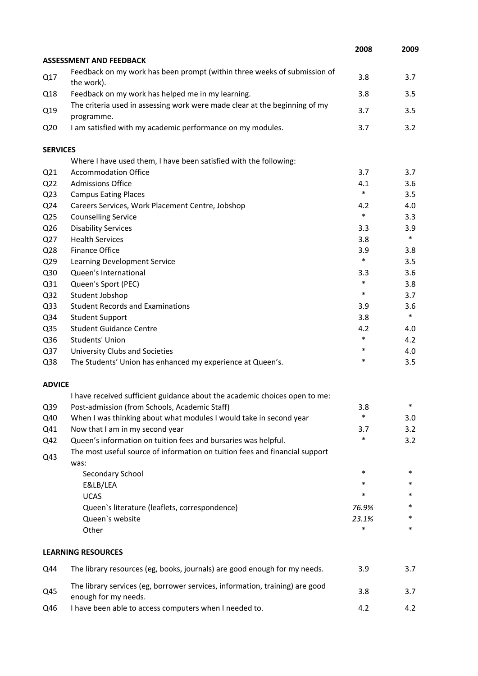|                 |                                                                                                      | 2008   | 2009   |
|-----------------|------------------------------------------------------------------------------------------------------|--------|--------|
|                 | <b>ASSESSMENT AND FEEDBACK</b>                                                                       |        |        |
| Q17             | Feedback on my work has been prompt (within three weeks of submission of<br>the work).               | 3.8    | 3.7    |
| Q18             | Feedback on my work has helped me in my learning.                                                    | 3.8    | 3.5    |
| Q19             | The criteria used in assessing work were made clear at the beginning of my<br>programme.             | 3.7    | 3.5    |
| Q <sub>20</sub> | I am satisfied with my academic performance on my modules.                                           | 3.7    | 3.2    |
| <b>SERVICES</b> |                                                                                                      |        |        |
|                 | Where I have used them, I have been satisfied with the following:                                    |        |        |
| Q <sub>21</sub> | <b>Accommodation Office</b>                                                                          | 3.7    | 3.7    |
| Q <sub>22</sub> | <b>Admissions Office</b>                                                                             | 4.1    | 3.6    |
| Q <sub>23</sub> | <b>Campus Eating Places</b>                                                                          | $\ast$ | 3.5    |
| Q24             | Careers Services, Work Placement Centre, Jobshop                                                     | 4.2    | 4.0    |
| Q <sub>25</sub> | <b>Counselling Service</b>                                                                           | $\ast$ | 3.3    |
| Q26             | <b>Disability Services</b>                                                                           | 3.3    | 3.9    |
| Q27             | <b>Health Services</b>                                                                               | 3.8    | $\ast$ |
| Q28             | Finance Office                                                                                       | 3.9    | 3.8    |
| Q29             | Learning Development Service                                                                         | $\ast$ | 3.5    |
| Q30             | Queen's International                                                                                | 3.3    | 3.6    |
| Q31             | Queen's Sport (PEC)                                                                                  | $\ast$ | 3.8    |
| Q <sub>32</sub> | Student Jobshop                                                                                      | $\ast$ | 3.7    |
| Q <sub>33</sub> | <b>Student Records and Examinations</b>                                                              | 3.9    | 3.6    |
| Q34             | <b>Student Support</b>                                                                               | 3.8    | $\ast$ |
| Q <sub>35</sub> | <b>Student Guidance Centre</b>                                                                       | 4.2    | 4.0    |
| Q36             | Students' Union                                                                                      | $\ast$ | 4.2    |
| Q37             | University Clubs and Societies                                                                       | $\ast$ | 4.0    |
| Q38             | The Students' Union has enhanced my experience at Queen's.                                           | $\ast$ | 3.5    |
| <b>ADVICE</b>   |                                                                                                      |        |        |
|                 | I have received sufficient guidance about the academic choices open to me:                           |        |        |
| Q39             | Post-admission (from Schools, Academic Staff)                                                        | 3.8    | ∗      |
| Q40             | When I was thinking about what modules I would take in second year                                   | $\ast$ | 3.0    |
| Q41             | Now that I am in my second year                                                                      | 3.7    | 3.2    |
| Q42             | Queen's information on tuition fees and bursaries was helpful.                                       | *      | 3.2    |
| Q43             | The most useful source of information on tuition fees and financial support<br>was:                  |        |        |
|                 | Secondary School                                                                                     | $\ast$ | $\ast$ |
|                 | E&LB/LEA                                                                                             | $\ast$ | *      |
|                 | <b>UCAS</b>                                                                                          | *      | *      |
|                 | Queen's literature (leaflets, correspondence)                                                        | 76.9%  | *      |
|                 | Queen's website                                                                                      | 23.1%  |        |
|                 | Other                                                                                                | $\ast$ | *      |
|                 | <b>LEARNING RESOURCES</b>                                                                            |        |        |
| Q44             | The library resources (eg, books, journals) are good enough for my needs.                            | 3.9    | 3.7    |
| Q45             | The library services (eg, borrower services, information, training) are good<br>enough for my needs. | 3.8    | 3.7    |
| Q46             | I have been able to access computers when I needed to.                                               | 4.2    | 4.2    |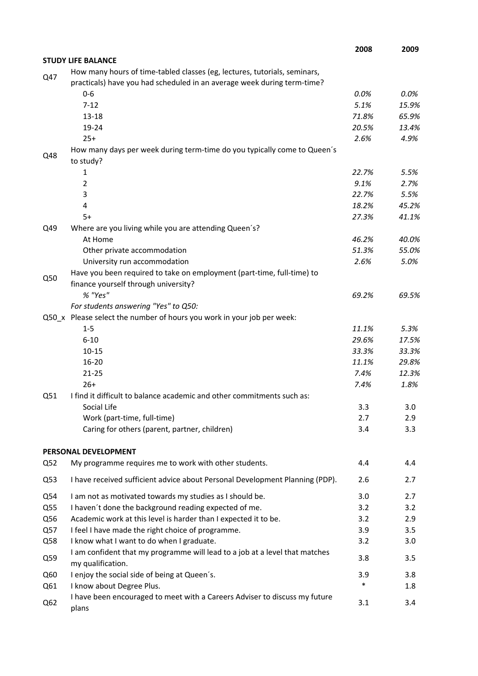|     |                                                                                                  | 2008   | 2009    |
|-----|--------------------------------------------------------------------------------------------------|--------|---------|
|     | <b>STUDY LIFE BALANCE</b>                                                                        |        |         |
| Q47 | How many hours of time-tabled classes (eg, lectures, tutorials, seminars,                        |        |         |
|     | practicals) have you had scheduled in an average week during term-time?                          |        |         |
|     | $0-6$                                                                                            | 0.0%   | $0.0\%$ |
|     | $7 - 12$                                                                                         | 5.1%   | 15.9%   |
|     | $13 - 18$                                                                                        | 71.8%  | 65.9%   |
|     | 19-24                                                                                            | 20.5%  | 13.4%   |
|     | $25+$                                                                                            | 2.6%   | 4.9%    |
| Q48 | How many days per week during term-time do you typically come to Queen's<br>to study?            |        |         |
|     | 1                                                                                                | 22.7%  | 5.5%    |
|     | 2                                                                                                | 9.1%   | 2.7%    |
|     | 3                                                                                                | 22.7%  | 5.5%    |
|     | 4                                                                                                | 18.2%  | 45.2%   |
|     | $5+$                                                                                             | 27.3%  | 41.1%   |
| Q49 | Where are you living while you are attending Queen's?                                            |        |         |
|     | At Home                                                                                          | 46.2%  | 40.0%   |
|     | Other private accommodation                                                                      | 51.3%  | 55.0%   |
|     | University run accommodation                                                                     | 2.6%   | 5.0%    |
| Q50 | Have you been required to take on employment (part-time, full-time) to                           |        |         |
|     | finance yourself through university?                                                             |        |         |
|     | % "Yes"                                                                                          | 69.2%  | 69.5%   |
|     | For students answering "Yes" to Q50:                                                             |        |         |
|     | Q50_x Please select the number of hours you work in your job per week:                           |        |         |
|     | $1 - 5$                                                                                          | 11.1%  | 5.3%    |
|     | $6 - 10$                                                                                         | 29.6%  | 17.5%   |
|     | $10 - 15$                                                                                        | 33.3%  | 33.3%   |
|     | $16 - 20$                                                                                        | 11.1%  | 29.8%   |
|     | $21 - 25$                                                                                        | 7.4%   | 12.3%   |
|     | $26+$                                                                                            | 7.4%   | 1.8%    |
| Q51 | I find it difficult to balance academic and other commitments such as:                           |        |         |
|     | Social Life                                                                                      | 3.3    | 3.0     |
|     | Work (part-time, full-time)                                                                      | 2.7    | 2.9     |
|     | Caring for others (parent, partner, children)                                                    | 3.4    | 3.3     |
|     | PERSONAL DEVELOPMENT                                                                             |        |         |
| Q52 | My programme requires me to work with other students.                                            | 4.4    | 4.4     |
| Q53 | I have received sufficient advice about Personal Development Planning (PDP).                     | 2.6    | 2.7     |
| Q54 | I am not as motivated towards my studies as I should be.                                         | 3.0    | 2.7     |
| Q55 | I haven't done the background reading expected of me.                                            | 3.2    | 3.2     |
| Q56 | Academic work at this level is harder than I expected it to be.                                  | 3.2    | 2.9     |
| Q57 | I feel I have made the right choice of programme.                                                | 3.9    | 3.5     |
| Q58 | I know what I want to do when I graduate.                                                        | 3.2    | 3.0     |
| Q59 | I am confident that my programme will lead to a job at a level that matches<br>my qualification. | 3.8    | 3.5     |
| Q60 | I enjoy the social side of being at Queen's.                                                     | 3.9    | 3.8     |
| Q61 | I know about Degree Plus.                                                                        | $\ast$ | 1.8     |
|     | I have been encouraged to meet with a Careers Adviser to discuss my future                       |        |         |
| Q62 | plans                                                                                            | 3.1    | 3.4     |